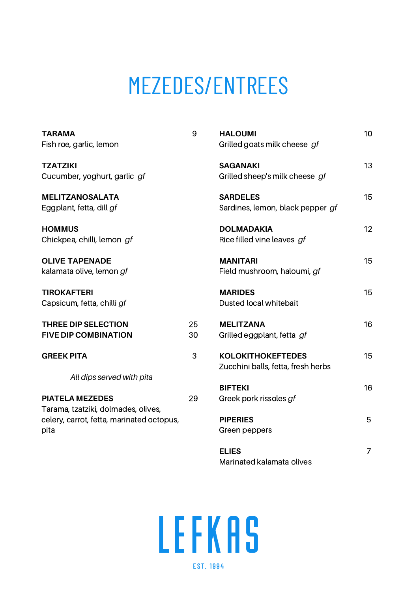# MEZEDES/ENTREES

| <b>TARAMA</b><br>Fish roe, garlic, lemon                                                 | 9        | <b>HALOUMI</b><br>Grilled goats milk cheese gf                 | 10 |
|------------------------------------------------------------------------------------------|----------|----------------------------------------------------------------|----|
| <b>TZATZIKI</b><br>Cucumber, yoghurt, garlic gf                                          |          | <b>SAGANAKI</b><br>Grilled sheep's milk cheese gf              | 13 |
| <b>MELITZANOSALATA</b><br>Eggplant, fetta, dill gf                                       |          | <b>SARDELES</b><br>Sardines, lemon, black pepper gf            | 15 |
| <b>HOMMUS</b><br>Chickpea, chilli, lemon gf                                              |          | <b>DOLMADAKIA</b><br>Rice filled vine leaves gf                | 12 |
| <b>OLIVE TAPENADE</b><br>kalamata olive, lemon gf                                        |          | <b>MANITARI</b><br>Field mushroom, haloumi, gf                 | 15 |
| <b>TIROKAFTERI</b><br>Capsicum, fetta, chilli gf                                         |          | <b>MARIDES</b><br>Dusted local whitebait                       | 15 |
| THREE DIP SELECTION<br><b>FIVE DIP COMBINATION</b>                                       | 25<br>30 | <b>MELITZANA</b><br>Grilled eggplant, fetta gf                 | 16 |
| <b>GREEK PITA</b>                                                                        | 3        | <b>KOLOKITHOKEFTEDES</b><br>Zucchini balls, fetta, fresh herbs | 15 |
| All dips served with pita<br><b>PIATELA MEZEDES</b>                                      | 29       | <b>BIFTEKI</b><br>Greek pork rissoles gf                       | 16 |
| Tarama, tzatziki, dolmades, olives,<br>celery, carrot, fetta, marinated octopus,<br>pita |          | <b>PIPERIES</b><br>Green peppers                               | 5  |
|                                                                                          |          | <b>ELIES</b><br>Marinated kalamata olives                      | 7  |

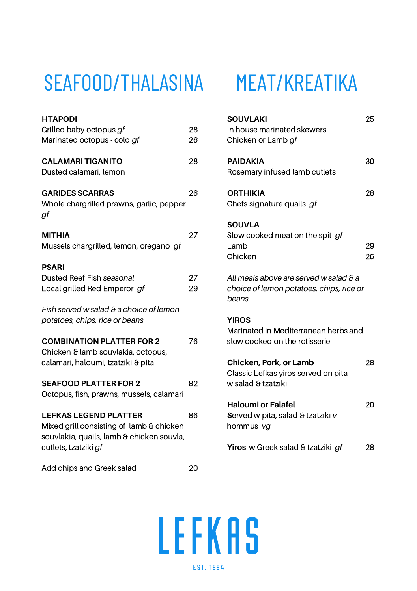### SEAFOOD/THALASINA MEAT/KREATIKA

| <b>HTAPODI</b>                            |    |
|-------------------------------------------|----|
| Grilled baby octopus gf                   | 28 |
| Marinated octopus - cold gf               | 26 |
|                                           |    |
| <b>CALAMARI TIGANITO</b>                  | 28 |
| Dusted calamari, lemon                    |    |
|                                           |    |
| <b>GARIDES SCARRAS</b>                    | 26 |
| Whole chargrilled prawns, garlic, pepper  |    |
| gf                                        |    |
|                                           |    |
| <b>MITHIA</b>                             | 27 |
| Mussels chargrilled, lemon, oregano gf    |    |
|                                           |    |
| <b>PSARI</b>                              |    |
| Dusted Reef Fish seasonal                 | 27 |
| Local grilled Red Emperor gf              | 29 |
|                                           |    |
| Fish served w salad & a choice of lemon   |    |
| potatoes, chips, rice or beans            |    |
|                                           |    |
| <b>COMBINATION PLATTER FOR 2</b>          | 76 |
| Chicken & lamb souvlakia, octopus,        |    |
| calamari, haloumi, tzatziki & pita        |    |
|                                           |    |
| <b>SEAFOOD PLATTER FOR 2</b>              | 82 |
| Octopus, fish, prawns, mussels, calamari  |    |
|                                           |    |
| <b>LEFKAS LEGEND PLATTER</b>              | 86 |
| Mixed grill consisting of lamb & chicken  |    |
| souvlakia, quails, lamb & chicken souvla, |    |
| cutlets, tzatziki gf                      |    |
|                                           |    |
| Add chips and Greek salad                 | 20 |

| <b>SOUVLAKI</b><br>In house marinated skewers<br>Chicken or Lamb gf                         | 25       |
|---------------------------------------------------------------------------------------------|----------|
| <b>PAIDAKIA</b><br>Rosemary infused lamb cutlets                                            | 30       |
| <b>ORTHIKIA</b><br>Chefs signature quails gf                                                | 28       |
| <b>SOUVLA</b><br>Slow cooked meat on the spit gf<br>Lamb<br>Chicken                         | 29<br>26 |
| All meals above are served w salad & a<br>choice of lemon potatoes, chips, rice or<br>beans |          |
| <b>YIROS</b><br>Marinated in Mediterranean herbs and<br>slow cooked on the rotisserie       |          |
| Chicken, Pork, or Lamb<br>Classic Lefkas yiros served on pita<br>w salad & tzatziki         | 28       |
| <b>Haloumi or Falafel</b><br>Served w pita, salad & tzatziki v<br>hommus vg                 | 20       |
| Yiros w Greek salad & tzatziki gf                                                           | 28       |

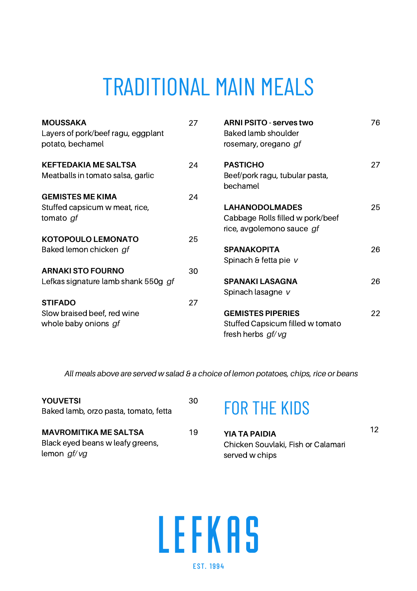# TRADITIONAL MAIN MEALS

| <b>MOUSSAKA</b><br>Layers of pork/beef ragu, eggplant<br>potato, bechamel | 27 | ARNI PSITO - serves two<br>Baked lamb shoulder<br>rosemary, oregano gf                 | 76 |
|---------------------------------------------------------------------------|----|----------------------------------------------------------------------------------------|----|
| <b>KEFTEDAKIA ME SALTSA</b><br>Meatballs in tomato salsa, garlic          | 24 | <b>PASTICHO</b><br>Beef/pork ragu, tubular pasta,<br>bechamel                          | 27 |
| <b>GEMISTES ME KIMA</b>                                                   | 24 |                                                                                        |    |
| Stuffed capsicum w meat, rice,<br>tomato gf                               |    | <b>LAHANODOLMADES</b><br>Cabbage Rolls filled w pork/beef<br>rice, avgolemono sauce gf | 25 |
| <b>KOTOPOULO LEMONATO</b>                                                 | 25 |                                                                                        |    |
| Baked lemon chicken gf                                                    |    | <b>SPANAKOPITA</b><br>Spinach & fetta pie v                                            | 26 |
| <b>ARNAKI STO FOURNO</b>                                                  | 30 |                                                                                        |    |
| Lefkas signature lamb shank 550g gf                                       |    | <b>SPANAKILASAGNA</b><br>Spinach lasagne v                                             | 26 |
| <b>STIFADO</b>                                                            | 27 |                                                                                        |    |
| Slow braised beef, red wine<br>whole baby onions gf                       |    | <b>GEMISTES PIPERIES</b><br>Stuffed Capsicum filled w tomato<br>fresh herbs gf/vg      | 22 |

*All meals above are served w salad & a choice of lemon potatoes, chips, rice or beans*

| <b>YOUVETSI</b>                       | 30 |
|---------------------------------------|----|
| Baked lamb, orzo pasta, tomato, fetta |    |
|                                       |    |
| <b>MAVROMITIKA ME SALTSA</b>          | 19 |
| Black eyed beans w leafy greens,      |    |
| lemon gf/vg                           |    |

#### FOR THE KIDS

| YIA TA PAIDIA                      |  |
|------------------------------------|--|
| Chicken Souvlaki, Fish or Calamari |  |
| served w chips                     |  |

12